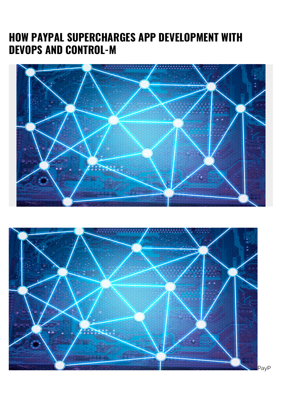## **HOW PAYPAL SUPERCHARGES APP DEVELOPMENT WITH DEVOPS AND CONTROL-M**



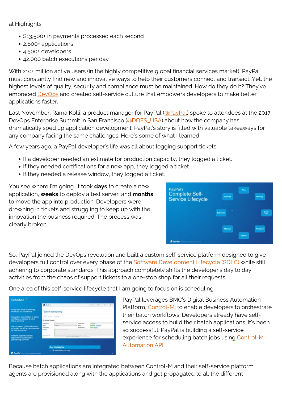al Highlights:

- \$13,500+ in payments processed each second
- 2,600+ applications
- 4,500+ developers
- 42,000 batch executions per day

With 210+ million active users (in the highly competitive global financial services market), PayPal must constantly find new and innovative ways to help their customers connect and transact. Yet, the highest levels of quality, security and compliance must be maintained. How do they do it? They've embraced [DevOps](https://blogs.bmc.com/blogs/devops-basics-introduction/) and created self-service culture that empowers developers to make better applications faster.

Last November, Rama Kolli, a product manager for PayPal [\(@PayPal\)](https://twitter.com/paypal) spoke to attendees at the 2017 DevOps Enterprise Summit in San Francisco [\(@DOES\\_USA](https://twitter.com/DOES_USA)) about how the company has dramatically sped up application development. PayPal's story is filled with valuable takeaways for any company facing the same challenges. Here's some of what I learned.

A few years ago, a PayPal developer's life was all about logging support tickets.

- If a developer needed an estimate for production capacity, they logged a ticket.
- If they needed certifications for a new app, they logged a ticket.
- If they needed a release window, they logged a ticket.

You see where I'm going. It took **days** to create a new application, **weeks** to deploy a test server, and **months** to move the app into production. Developers were drowning in tickets and struggling to keep up with the innovation the business required. The process was clearly broken.



So, PayPal joined the DevOps revolution and built a custom self-service platform designed to give developers full control over every phase of the [Software Development Lifecycle \(SDLC\)](https://blogs.bmc.com/blogs/sdlc-software-development-lifecycle/) while still adhering to corporate standards. This approach completely shifts the developer's day to day activities from the chaos of support tickets to a one-stop shop for all their requests.

One area of this self-service lifecycle that I am going to focus on is scheduling.

|                                                                                                  | <b>China</b>                                                                        |                                                                                                                            |                         | With State L. (All State Co., Minister Co.) |  |
|--------------------------------------------------------------------------------------------------|-------------------------------------------------------------------------------------|----------------------------------------------------------------------------------------------------------------------------|-------------------------|---------------------------------------------|--|
| Belup back office processing<br>worldows via sell cervice                                        | Batch Scheduling                                                                    |                                                                                                                            |                         |                                             |  |
| Supports a rich interface to author.<br>workflows, in speaked to other<br><b>SDLC activities</b> |                                                                                     | Worldow Details                                                                                                            |                         |                                             |  |
| Uses business critical onlarprise<br>extenduler via API accuus powered<br>by BMC Control-M       | <b>School Service</b><br><b>Wildell</b><br><b>Suite Countries</b><br><b>SALESNA</b> | <b>ALL</b>                                                                                                                 | <b>Margaret Barrier</b> | <b>COMPANY</b> COMPANY<br><b>PIPE (PIPE</b> |  |
| Platform supports suitable:<br>deployment architecture &<br>provisioning activities              |                                                                                     | The decomposition and provided a 1997 FMR 2008 ARM AND MODELLA Constitution for the Constitution Constitution Constitution |                         |                                             |  |

PayPal leverages BMC's Digital Business Automation Platform, [Control-M,](https://blogs.bmc.com/it-solutions/control-m.html) to enable developers to orchestrate their batch workflows. Developers already have selfservice access to build their batch applications. It's been so successful, PayPal is building a self-service experience for scheduling batch jobs using [Control-M](https://blogs.bmc.com/documents/datasheets/control-m-automation-api.html) [Automation API](https://blogs.bmc.com/documents/datasheets/control-m-automation-api.html).

Because batch applications are integrated between Control-M and their self-service platform, agents are provisioned along with the applications and get propagated to all the different